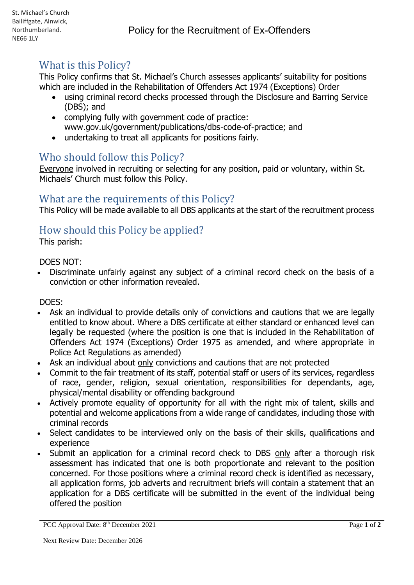# What is this Policy?

This Policy confirms that St. Michael's Church assesses applicants' suitability for positions which are included in the Rehabilitation of Offenders Act 1974 (Exceptions) Order

- using criminal record checks processed through the Disclosure and Barring Service (DBS); and
- complying fully with government code of practice: www.gov.uk/government/publications/dbs-code-of-practice; and
- undertaking to treat all applicants for positions fairly.

# Who should follow this Policy?

Everyone involved in recruiting or selecting for any position, paid or voluntary, within St. Michaels' Church must follow this Policy.

# What are the requirements of this Policy?

This Policy will be made available to all DBS applicants at the start of the recruitment process

### How should this Policy be applied?

This parish:

#### DOES NOT:

• Discriminate unfairly against any subject of a criminal record check on the basis of a conviction or other information revealed.

DOES:

- Ask an individual to provide details only of convictions and cautions that we are legally entitled to know about. Where a DBS certificate at either standard or enhanced level can legally be requested (where the position is one that is included in the Rehabilitation of Offenders Act 1974 (Exceptions) Order 1975 as amended, and where appropriate in Police Act Regulations as amended)
- Ask an individual about only convictions and cautions that are not protected
- Commit to the fair treatment of its staff, potential staff or users of its services, regardless of race, gender, religion, sexual orientation, responsibilities for dependants, age, physical/mental disability or offending background
- Actively promote equality of opportunity for all with the right mix of talent, skills and potential and welcome applications from a wide range of candidates, including those with criminal records
- Select candidates to be interviewed only on the basis of their skills, qualifications and experience
- Submit an application for a criminal record check to DBS only after a thorough risk assessment has indicated that one is both proportionate and relevant to the position concerned. For those positions where a criminal record check is identified as necessary, all application forms, job adverts and recruitment briefs will contain a statement that an application for a DBS certificate will be submitted in the event of the individual being offered the position

PCC Approval Date:  $8^{\text{th}}$  December 2021 **Page 1** of 2